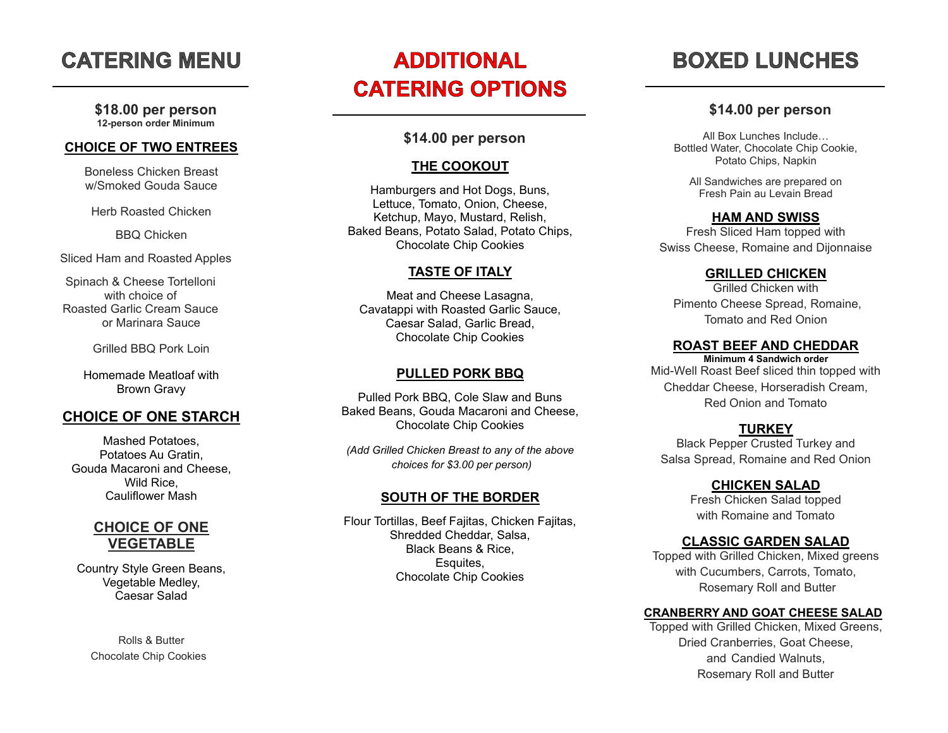# **CATERING MENU**

**\$18.00 per person 12 -person order Minimum** 

#### **CHOICE OF TWO ENTREES**

Boneless Chicken Breast w/Smoked Gouda Sauce

Herb Roasted Chicken

BBQ Chicken

Sliced Ham and Roasted Apples

Spinach & Cheese Tortelloni with choice of Roasted Garlic Cream Sauce or Marinara Sauce

Grilled BBQ Pork Loin

Homemade Meatloaf with Brown Gravy

#### **CHOICE OF ONE STARCH**

Mashed Potatoes, Potatoes Au Gratin, Gouda Macaroni and Cheese, Wild Rice, Cauliflower Mash

## **CHOICE OF ONE VEGETABLE**

Country Style Green Beans, Vegetable Medley, Caesar Salad

Rolls & Butter Chocolate Chip Cookies

# **ADDITIONAL CATERING OPTIONS**

#### **\$14.00 per person**

#### **THE COOKOUT**

Hamburgers and Hot Dogs, Buns, Lettuce, Tomato, Onion, Cheese, Ketchup, Mayo, Mustard, Relish, Baked Beans, Potato Salad, Potato Chips, Chocolate Chip Cookies

#### **TASTE OF ITALY**

Meat and Cheese Lasagna, Cavatappi with Roasted Garlic Sauce, Caesar Salad, Garlic Bread, Chocolate Chip Cookies

#### **PULLED PORK BBQ**

Pulled Pork BBQ, Cole Slaw and Buns Baked Beans, Gouda Macaroni and Cheese, Chocolate Chip Cookies

*(Add Grilled Chicken Breast to any of the above choices for \$3.00 per person)*

#### **SOUTH OF THE BORDER**

Flour Tortilla s, Beef Fajitas, Chicken Fajitas, Shredded Cheddar, Salsa, Black Beans & Rice , Esquites, Chocolate Chip Cookies

# **BOXED LUNCHES**

#### **\$14.00 per person**

All Box Lunches Include… Bottled Water, Chocolate Chip Cookie, Potato Chips, Napkin

All Sandwiches are prepared on Fresh Pain au Levain Bread

#### **HAM AND SWISS**

Fresh Sliced Ham topped with Swiss Cheese, Romaine and Dijon naise

#### **GRILLED CHICKEN**

Grilled Chicken with Pimento Cheese Spread, Romaine, Tomato and Red Onion

#### **ROAST BEEF AND CHEDDAR**

**Minimum 4 Sandwich order** Mid -Well Roast Beef sliced thin topped with Cheddar Cheese, Horseradish Cream, Red Onion and Tomato

#### **TURKEY**

Black Pepper Crusted Turkey and Salsa Spread, Romaine and Red Onion

#### **CHICKEN SALAD**

Fresh Chicken Salad topped with Romaine and Tomato

#### **CLASSIC GARDEN SALAD**

Topped with Grilled Chicken, Mixed greens with Cucumbers, Carrots, Tomato, Rosemary Roll and Butter

#### **CRANBERRY AND GOAT CHEESE SALAD**

Topped with Grilled Chicken, Mixed Greens, Dried Cranberries, Goat Cheese, and Candied Walnuts, Rosemary Roll and Butter